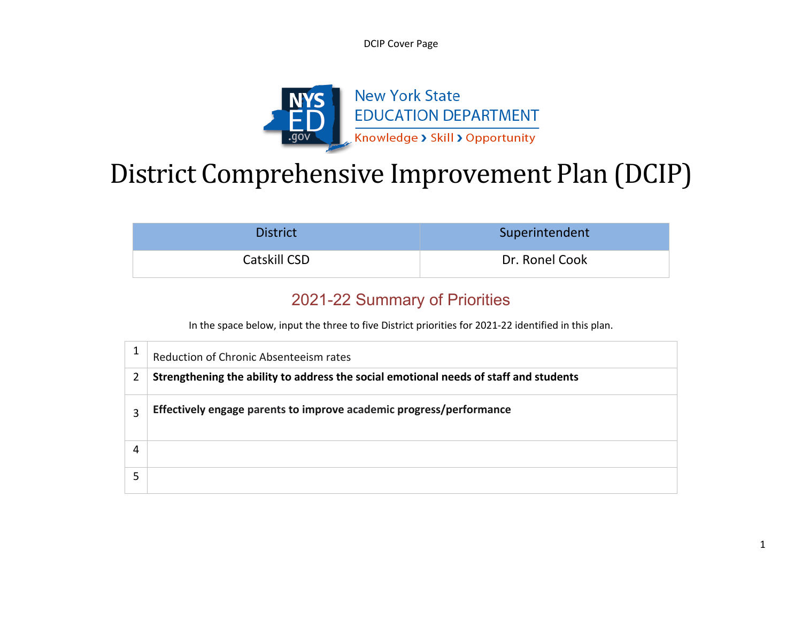DCIP Cover Page



# District Comprehensive Improvement Plan (DCIP)

| <b>District</b> | Superintendent |
|-----------------|----------------|
| Catskill CSD    | Dr. Ronel Cook |

#### 2021-22 Summary of Priorities

In the space below, input the three to five District priorities for 2021-22 identified in this plan.

|   | Reduction of Chronic Absenteeism rates                                                |
|---|---------------------------------------------------------------------------------------|
| 2 | Strengthening the ability to address the social emotional needs of staff and students |
| З | Effectively engage parents to improve academic progress/performance                   |
|   |                                                                                       |
|   |                                                                                       |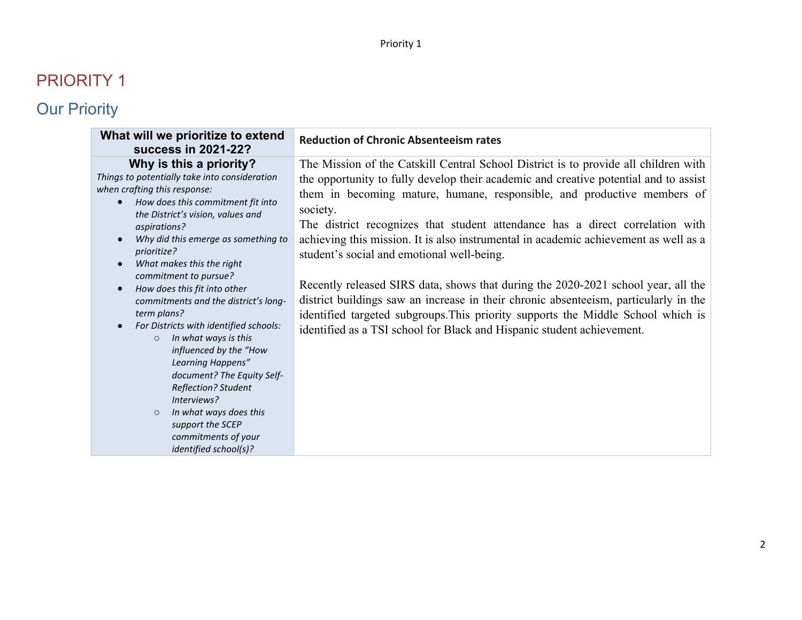| What will we prioritize to extend<br>success in 2021-22?                                                                                                                                                                                                                                                                                                                                                                                                                                                                                                                                                                                                                                                                                                                  | <b>Reduction of Chronic Absenteeism rates</b>                                                                                                                                                                                                                                                                                                                                                                                                                                                                                                                                                                                                                                                                                                                                                                                        |
|---------------------------------------------------------------------------------------------------------------------------------------------------------------------------------------------------------------------------------------------------------------------------------------------------------------------------------------------------------------------------------------------------------------------------------------------------------------------------------------------------------------------------------------------------------------------------------------------------------------------------------------------------------------------------------------------------------------------------------------------------------------------------|--------------------------------------------------------------------------------------------------------------------------------------------------------------------------------------------------------------------------------------------------------------------------------------------------------------------------------------------------------------------------------------------------------------------------------------------------------------------------------------------------------------------------------------------------------------------------------------------------------------------------------------------------------------------------------------------------------------------------------------------------------------------------------------------------------------------------------------|
| Why is this a priority?<br>Things to potentially take into consideration<br>when crafting this response:<br>How does this commitment fit into<br>the District's vision, values and<br>aspirations?<br>Why did this emerge as something to<br>$\bullet$<br>prioritize?<br>What makes this the right<br>$\bullet$<br>commitment to pursue?<br>How does this fit into other<br>$\bullet$<br>commitments and the district's long-<br>term plans?<br>For Districts with identified schools:<br>$\bullet$<br>In what ways is this<br>$\circ$<br>influenced by the "How<br>Learning Happens"<br>document? The Equity Self-<br><b>Reflection? Student</b><br>Interviews?<br>In what ways does this<br>$\circ$<br>support the SCEP<br>commitments of your<br>identified school(s)? | The Mission of the Catskill Central School District is to provide all children with<br>the opportunity to fully develop their academic and creative potential and to assist<br>them in becoming mature, humane, responsible, and productive members of<br>society.<br>The district recognizes that student attendance has a direct correlation with<br>achieving this mission. It is also instrumental in academic achievement as well as a<br>student's social and emotional well-being.<br>Recently released SIRS data, shows that during the 2020-2021 school year, all the<br>district buildings saw an increase in their chronic absenteeism, particularly in the<br>identified targeted subgroups. This priority supports the Middle School which is<br>identified as a TSI school for Black and Hispanic student achievement. |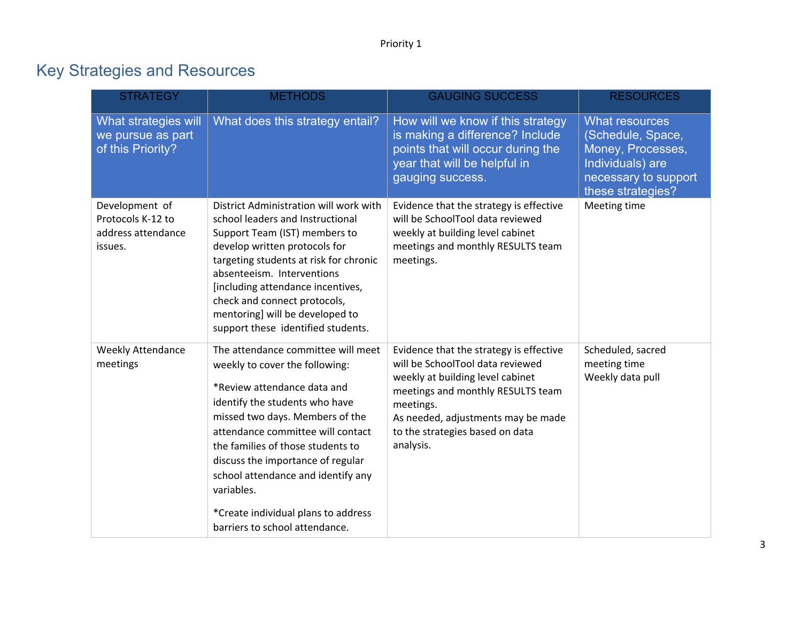| <b>STRATEGY</b>                                                      | <b>METHODS</b>                                                                                                                                                                                                                                                                                                                                                                                                       | <b>GAUGING SUCCESS</b>                                                                                                                                                                                                                                  | <b>RESOURCES</b>                                                                                                                 |
|----------------------------------------------------------------------|----------------------------------------------------------------------------------------------------------------------------------------------------------------------------------------------------------------------------------------------------------------------------------------------------------------------------------------------------------------------------------------------------------------------|---------------------------------------------------------------------------------------------------------------------------------------------------------------------------------------------------------------------------------------------------------|----------------------------------------------------------------------------------------------------------------------------------|
| What strategies will<br>we pursue as part<br>of this Priority?       | What does this strategy entail?                                                                                                                                                                                                                                                                                                                                                                                      | How will we know if this strategy<br>is making a difference? Include<br>points that will occur during the<br>year that will be helpful in<br>gauging success.                                                                                           | <b>What resources</b><br>(Schedule, Space,<br>Money, Processes,<br>Individuals) are<br>necessary to support<br>these strategies? |
| Development of<br>Protocols K-12 to<br>address attendance<br>issues. | District Administration will work with<br>school leaders and Instructional<br>Support Team (IST) members to<br>develop written protocols for<br>targeting students at risk for chronic<br>absenteeism. Interventions<br>[including attendance incentives,<br>check and connect protocols,<br>mentoring] will be developed to<br>support these identified students.                                                   | Evidence that the strategy is effective<br>will be SchoolTool data reviewed<br>weekly at building level cabinet<br>meetings and monthly RESULTS team<br>meetings.                                                                                       | Meeting time                                                                                                                     |
| <b>Weekly Attendance</b><br>meetings                                 | The attendance committee will meet<br>weekly to cover the following:<br>*Review attendance data and<br>identify the students who have<br>missed two days. Members of the<br>attendance committee will contact<br>the families of those students to<br>discuss the importance of regular<br>school attendance and identify any<br>variables.<br>*Create individual plans to address<br>barriers to school attendance. | Evidence that the strategy is effective<br>will be SchoolTool data reviewed<br>weekly at building level cabinet<br>meetings and monthly RESULTS team<br>meetings.<br>As needed, adjustments may be made<br>to the strategies based on data<br>analysis. | Scheduled, sacred<br>meeting time<br>Weekly data pull                                                                            |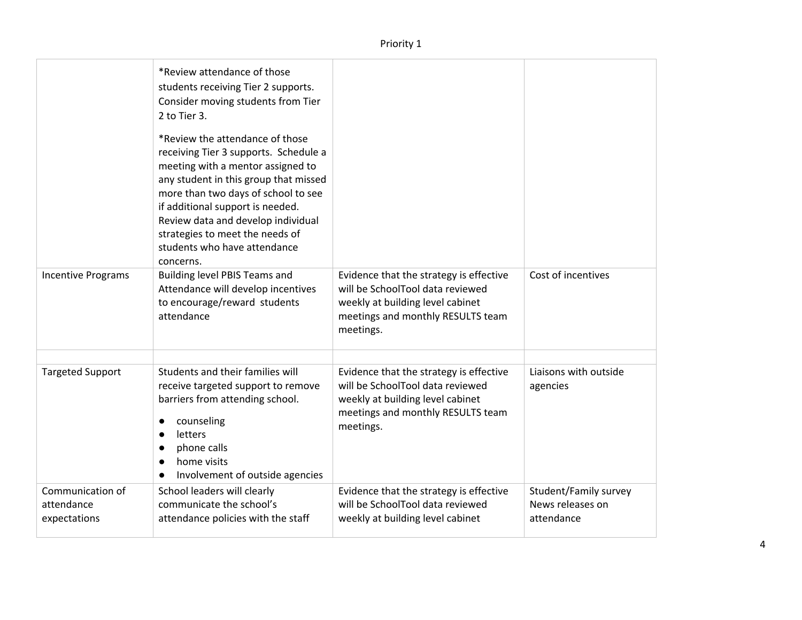|                                                | *Review attendance of those<br>students receiving Tier 2 supports.<br>Consider moving students from Tier<br>2 to Tier 3.<br>*Review the attendance of those<br>receiving Tier 3 supports. Schedule a<br>meeting with a mentor assigned to<br>any student in this group that missed<br>more than two days of school to see<br>if additional support is needed.<br>Review data and develop individual<br>strategies to meet the needs of<br>students who have attendance<br>concerns. |                                                                                                                                                                   |                                                         |
|------------------------------------------------|-------------------------------------------------------------------------------------------------------------------------------------------------------------------------------------------------------------------------------------------------------------------------------------------------------------------------------------------------------------------------------------------------------------------------------------------------------------------------------------|-------------------------------------------------------------------------------------------------------------------------------------------------------------------|---------------------------------------------------------|
| <b>Incentive Programs</b>                      | Building level PBIS Teams and<br>Attendance will develop incentives<br>to encourage/reward students<br>attendance                                                                                                                                                                                                                                                                                                                                                                   | Evidence that the strategy is effective<br>will be SchoolTool data reviewed<br>weekly at building level cabinet<br>meetings and monthly RESULTS team<br>meetings. | Cost of incentives                                      |
| <b>Targeted Support</b>                        | Students and their families will<br>receive targeted support to remove<br>barriers from attending school.<br>counseling<br>$\bullet$<br>letters<br>$\bullet$<br>phone calls<br>home visits<br>$\bullet$<br>Involvement of outside agencies<br>$\bullet$                                                                                                                                                                                                                             | Evidence that the strategy is effective<br>will be SchoolTool data reviewed<br>weekly at building level cabinet<br>meetings and monthly RESULTS team<br>meetings. | Liaisons with outside<br>agencies                       |
| Communication of<br>attendance<br>expectations | School leaders will clearly<br>communicate the school's<br>attendance policies with the staff                                                                                                                                                                                                                                                                                                                                                                                       | Evidence that the strategy is effective<br>will be SchoolTool data reviewed<br>weekly at building level cabinet                                                   | Student/Family survey<br>News releases on<br>attendance |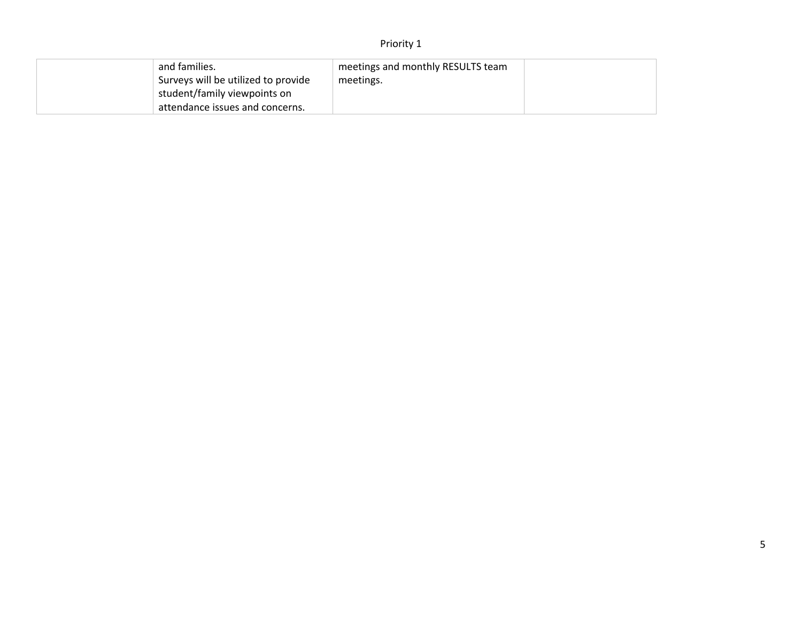| and families.                       | meetings and monthly RESULTS team |  |
|-------------------------------------|-----------------------------------|--|
| Surveys will be utilized to provide | meetings.                         |  |
| student/family viewpoints on        |                                   |  |
| attendance issues and concerns.     |                                   |  |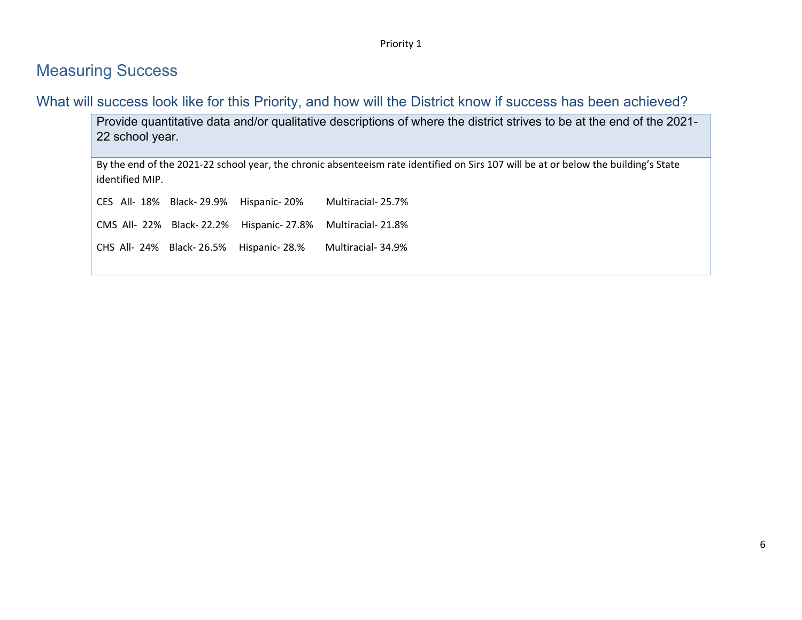#### Measuring Success

What will success look like for this Priority, and how will the District know if success has been achieved?

Provide quantitative data and/or qualitative descriptions of where the district strives to be at the end of the 2021- 22 school year.

By the end of the 2021-22 school year, the chronic absenteeism rate identified on Sirs 107 will be at or below the building's State identified MIP.

CES All- 18% Black- 29.9% Hispanic- 20% Multiracial- 25.7% CMS All- 22% Black- 22.2% Hispanic- 27.8% Multiracial- 21.8%

CHS All- 24% Black- 26.5% Hispanic- 28.% Multiracial- 34.9%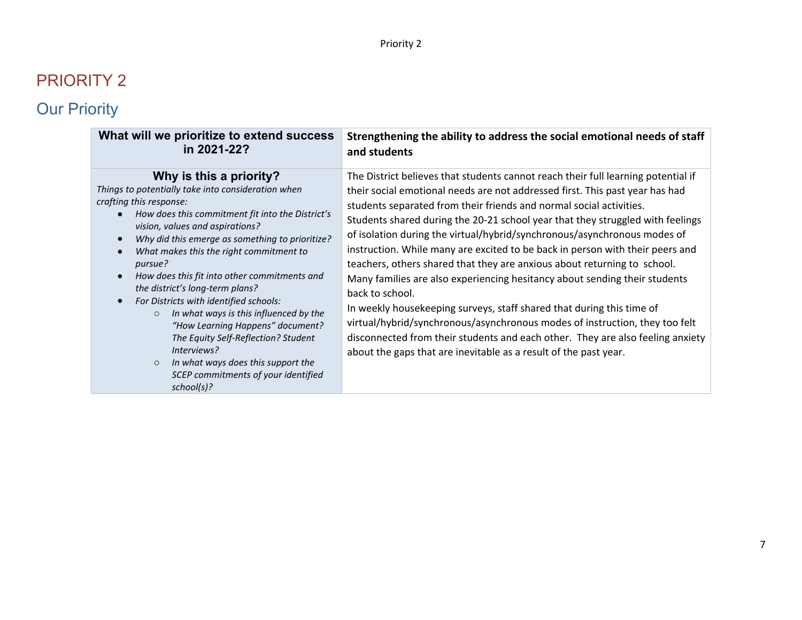| What will we prioritize to extend success                                                                                                                                                                                                                                                                                                                                                                                                                                                                                                                                                                                                                                                               | Strengthening the ability to address the social emotional needs of staff                                                                                                                                                                                                                                                                                                                                                                                                                                                                                                                                                                                                                                                                                                                                                                                                                                                                                                           |
|---------------------------------------------------------------------------------------------------------------------------------------------------------------------------------------------------------------------------------------------------------------------------------------------------------------------------------------------------------------------------------------------------------------------------------------------------------------------------------------------------------------------------------------------------------------------------------------------------------------------------------------------------------------------------------------------------------|------------------------------------------------------------------------------------------------------------------------------------------------------------------------------------------------------------------------------------------------------------------------------------------------------------------------------------------------------------------------------------------------------------------------------------------------------------------------------------------------------------------------------------------------------------------------------------------------------------------------------------------------------------------------------------------------------------------------------------------------------------------------------------------------------------------------------------------------------------------------------------------------------------------------------------------------------------------------------------|
| in 2021-22?                                                                                                                                                                                                                                                                                                                                                                                                                                                                                                                                                                                                                                                                                             | and students                                                                                                                                                                                                                                                                                                                                                                                                                                                                                                                                                                                                                                                                                                                                                                                                                                                                                                                                                                       |
| Why is this a priority?<br>Things to potentially take into consideration when<br>crafting this response:<br>How does this commitment fit into the District's<br>vision, values and aspirations?<br>Why did this emerge as something to prioritize?<br>What makes this the right commitment to<br>pursue?<br>How does this fit into other commitments and<br>$\bullet$<br>the district's long-term plans?<br>For Districts with identified schools:<br>In what ways is this influenced by the<br>$\circ$<br>"How Learning Happens" document?<br>The Equity Self-Reflection? Student<br>Interviews?<br>In what ways does this support the<br>$\circ$<br>SCEP commitments of your identified<br>school(s)? | The District believes that students cannot reach their full learning potential if<br>their social emotional needs are not addressed first. This past year has had<br>students separated from their friends and normal social activities.<br>Students shared during the 20-21 school year that they struggled with feelings<br>of isolation during the virtual/hybrid/synchronous/asynchronous modes of<br>instruction. While many are excited to be back in person with their peers and<br>teachers, others shared that they are anxious about returning to school.<br>Many families are also experiencing hesitancy about sending their students<br>back to school.<br>In weekly housekeeping surveys, staff shared that during this time of<br>virtual/hybrid/synchronous/asynchronous modes of instruction, they too felt<br>disconnected from their students and each other. They are also feeling anxiety<br>about the gaps that are inevitable as a result of the past year. |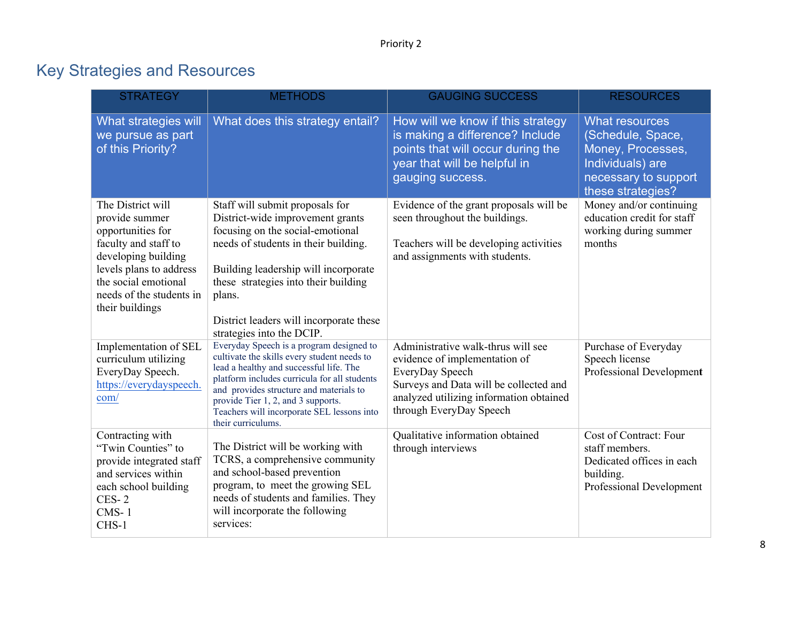| <b>STRATEGY</b>                                                                                                                                                                                           | <b>METHODS</b>                                                                                                                                                                                                                                                                                                                          | <b>GAUGING SUCCESS</b>                                                                                                                                                                                 | <b>RESOURCES</b>                                                                                                                 |
|-----------------------------------------------------------------------------------------------------------------------------------------------------------------------------------------------------------|-----------------------------------------------------------------------------------------------------------------------------------------------------------------------------------------------------------------------------------------------------------------------------------------------------------------------------------------|--------------------------------------------------------------------------------------------------------------------------------------------------------------------------------------------------------|----------------------------------------------------------------------------------------------------------------------------------|
| What strategies will<br>we pursue as part<br>of this Priority?                                                                                                                                            | What does this strategy entail?                                                                                                                                                                                                                                                                                                         | How will we know if this strategy<br>is making a difference? Include<br>points that will occur during the<br>year that will be helpful in<br>gauging success.                                          | <b>What resources</b><br>(Schedule, Space,<br>Money, Processes,<br>Individuals) are<br>necessary to support<br>these strategies? |
| The District will<br>provide summer<br>opportunities for<br>faculty and staff to<br>developing building<br>levels plans to address<br>the social emotional<br>needs of the students in<br>their buildings | Staff will submit proposals for<br>District-wide improvement grants<br>focusing on the social-emotional<br>needs of students in their building.<br>Building leadership will incorporate<br>these strategies into their building<br>plans.<br>District leaders will incorporate these<br>strategies into the DCIP.                       | Evidence of the grant proposals will be<br>seen throughout the buildings.<br>Teachers will be developing activities<br>and assignments with students.                                                  | Money and/or continuing<br>education credit for staff<br>working during summer<br>months                                         |
| Implementation of SEL<br>curriculum utilizing<br>EveryDay Speech.<br>https://everydayspeech.<br>com/                                                                                                      | Everyday Speech is a program designed to<br>cultivate the skills every student needs to<br>lead a healthy and successful life. The<br>platform includes curricula for all students<br>and provides structure and materials to<br>provide Tier 1, 2, and 3 supports.<br>Teachers will incorporate SEL lessons into<br>their curriculums. | Administrative walk-thrus will see<br>evidence of implementation of<br>EveryDay Speech<br>Surveys and Data will be collected and<br>analyzed utilizing information obtained<br>through EveryDay Speech | Purchase of Everyday<br>Speech license<br>Professional Development                                                               |
| Contracting with<br>"Twin Counties" to<br>provide integrated staff<br>and services within<br>each school building<br>$CES-2$<br>$CMS-1$<br>CHS-1                                                          | The District will be working with<br>TCRS, a comprehensive community<br>and school-based prevention<br>program, to meet the growing SEL<br>needs of students and families. They<br>will incorporate the following<br>services:                                                                                                          | Qualitative information obtained<br>through interviews                                                                                                                                                 | Cost of Contract: Four<br>staff members.<br>Dedicated offices in each<br>building.<br>Professional Development                   |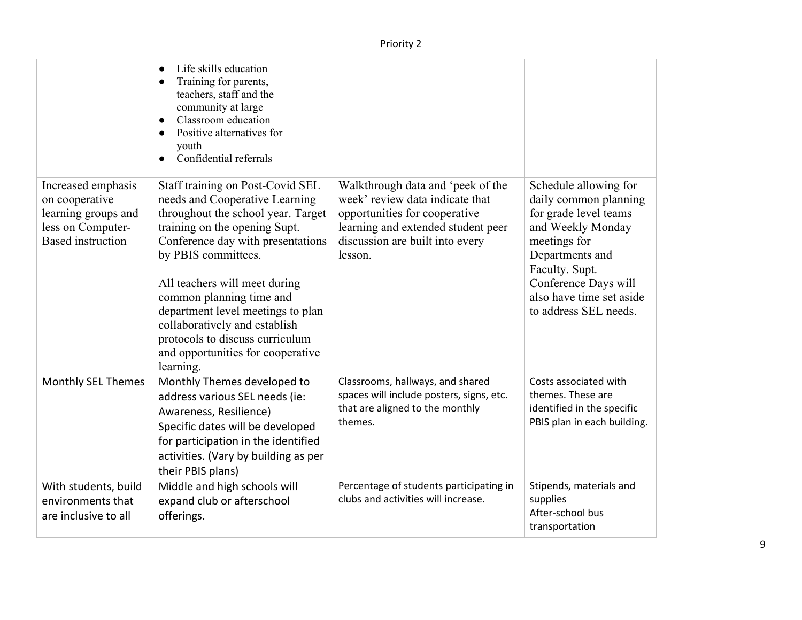| Increased emphasis<br>on cooperative<br>learning groups and<br>less on Computer-<br><b>Based</b> instruction | Life skills education<br>Training for parents,<br>teachers, staff and the<br>community at large<br>Classroom education<br>Positive alternatives for<br>youth<br>Confidential referrals<br>Staff training on Post-Covid SEL<br>needs and Cooperative Learning<br>throughout the school year. Target<br>training on the opening Supt.<br>Conference day with presentations<br>by PBIS committees.<br>All teachers will meet during<br>common planning time and<br>department level meetings to plan<br>collaboratively and establish<br>protocols to discuss curriculum<br>and opportunities for cooperative<br>learning. | Walkthrough data and 'peek of the<br>week' review data indicate that<br>opportunities for cooperative<br>learning and extended student peer<br>discussion are built into every<br>lesson. | Schedule allowing for<br>daily common planning<br>for grade level teams<br>and Weekly Monday<br>meetings for<br>Departments and<br>Faculty. Supt.<br>Conference Days will<br>also have time set aside<br>to address SEL needs. |
|--------------------------------------------------------------------------------------------------------------|-------------------------------------------------------------------------------------------------------------------------------------------------------------------------------------------------------------------------------------------------------------------------------------------------------------------------------------------------------------------------------------------------------------------------------------------------------------------------------------------------------------------------------------------------------------------------------------------------------------------------|-------------------------------------------------------------------------------------------------------------------------------------------------------------------------------------------|--------------------------------------------------------------------------------------------------------------------------------------------------------------------------------------------------------------------------------|
| Monthly SEL Themes                                                                                           | Monthly Themes developed to<br>address various SEL needs (ie:<br>Awareness, Resilience)<br>Specific dates will be developed<br>for participation in the identified<br>activities. (Vary by building as per<br>their PBIS plans)                                                                                                                                                                                                                                                                                                                                                                                         | Classrooms, hallways, and shared<br>spaces will include posters, signs, etc.<br>that are aligned to the monthly<br>themes.                                                                | Costs associated with<br>themes. These are<br>identified in the specific<br>PBIS plan in each building.                                                                                                                        |
| With students, build<br>environments that<br>are inclusive to all                                            | Middle and high schools will<br>expand club or afterschool<br>offerings.                                                                                                                                                                                                                                                                                                                                                                                                                                                                                                                                                | Percentage of students participating in<br>clubs and activities will increase.                                                                                                            | Stipends, materials and<br>supplies<br>After-school bus<br>transportation                                                                                                                                                      |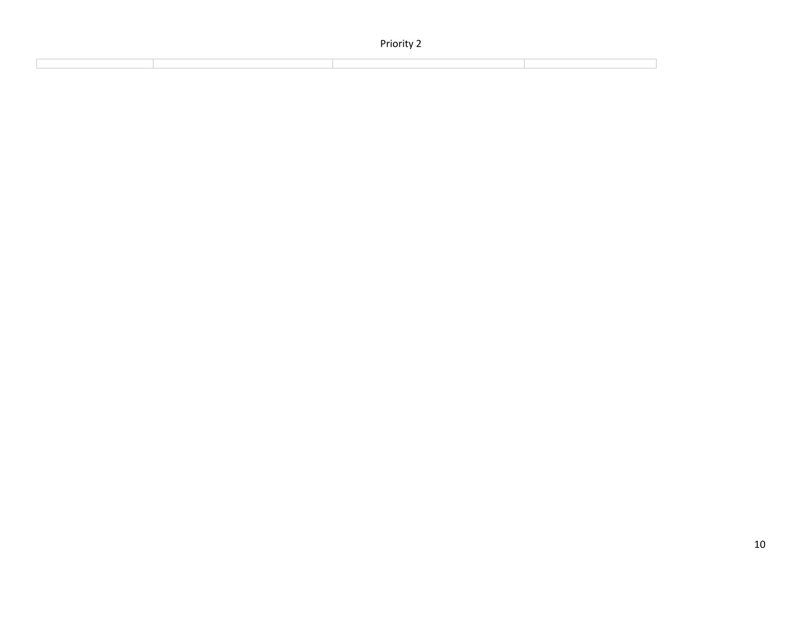|  | Priority 2 |  |
|--|------------|--|
|  |            |  |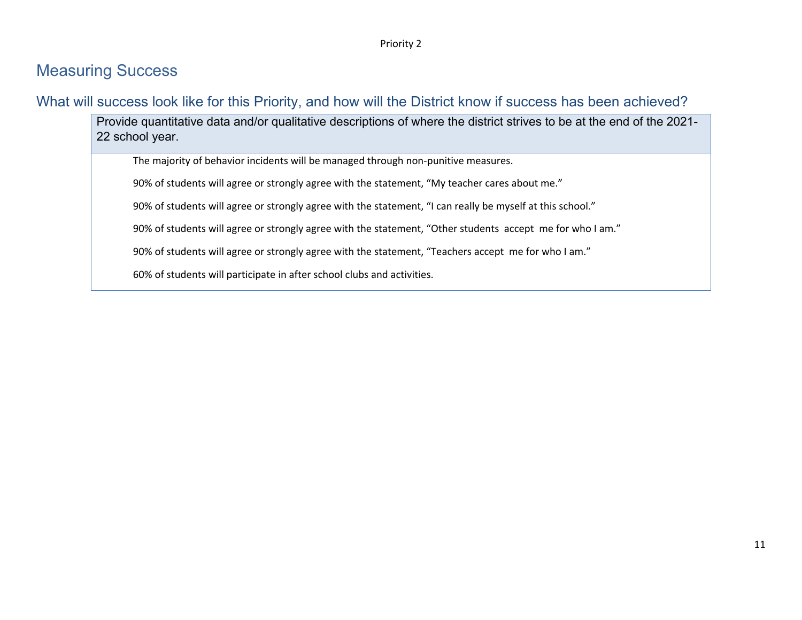#### Measuring Success

What will success look like for this Priority, and how will the District know if success has been achieved?

Provide quantitative data and/or qualitative descriptions of where the district strives to be at the end of the 2021- 22 school year.

The majority of behavior incidents will be managed through non-punitive measures.

90% of students will agree or strongly agree with the statement, "My teacher cares about me."

90% of students will agree or strongly agree with the statement, "I can really be myself at this school."

90% of students will agree or strongly agree with the statement, "Other students accept me for who I am."

90% of students will agree or strongly agree with the statement, "Teachers accept me for who I am."

60% of students will participate in after school clubs and activities.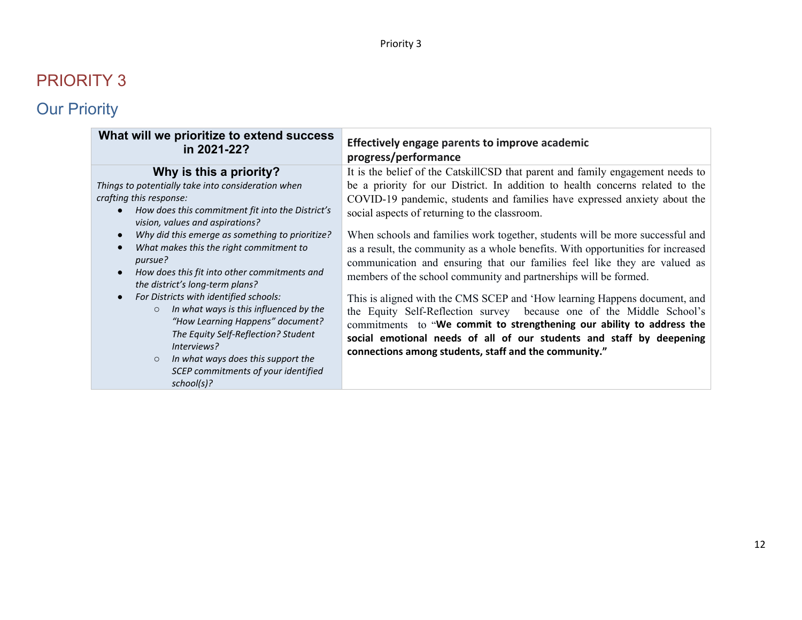| What will we prioritize to extend success                                                                                                                                                                                                                                                                                                                                                                                                                                                                                                                                                                                                                                                     | Effectively engage parents to improve academic                                                                                                                                                                                                                                                                                                                                                                                                                                                                                                                                                                                                                                                                                                                                                                                                                                                                                                                                     |
|-----------------------------------------------------------------------------------------------------------------------------------------------------------------------------------------------------------------------------------------------------------------------------------------------------------------------------------------------------------------------------------------------------------------------------------------------------------------------------------------------------------------------------------------------------------------------------------------------------------------------------------------------------------------------------------------------|------------------------------------------------------------------------------------------------------------------------------------------------------------------------------------------------------------------------------------------------------------------------------------------------------------------------------------------------------------------------------------------------------------------------------------------------------------------------------------------------------------------------------------------------------------------------------------------------------------------------------------------------------------------------------------------------------------------------------------------------------------------------------------------------------------------------------------------------------------------------------------------------------------------------------------------------------------------------------------|
| in 2021-22?                                                                                                                                                                                                                                                                                                                                                                                                                                                                                                                                                                                                                                                                                   | progress/performance                                                                                                                                                                                                                                                                                                                                                                                                                                                                                                                                                                                                                                                                                                                                                                                                                                                                                                                                                               |
| Why is this a priority?<br>Things to potentially take into consideration when<br>crafting this response:<br>How does this commitment fit into the District's<br>vision, values and aspirations?<br>Why did this emerge as something to prioritize?<br>What makes this the right commitment to<br>pursue?<br>How does this fit into other commitments and<br>the district's long-term plans?<br>For Districts with identified schools:<br>In what ways is this influenced by the<br>$\circ$<br>"How Learning Happens" document?<br>The Equity Self-Reflection? Student<br>Interviews?<br>In what ways does this support the<br>$\circ$<br>SCEP commitments of your identified<br>$school(s)$ ? | It is the belief of the CatskillCSD that parent and family engagement needs to<br>be a priority for our District. In addition to health concerns related to the<br>COVID-19 pandemic, students and families have expressed anxiety about the<br>social aspects of returning to the classroom.<br>When schools and families work together, students will be more successful and<br>as a result, the community as a whole benefits. With opportunities for increased<br>communication and ensuring that our families feel like they are valued as<br>members of the school community and partnerships will be formed.<br>This is aligned with the CMS SCEP and 'How learning Happens document, and<br>the Equity Self-Reflection survey because one of the Middle School's<br>commitments to "We commit to strengthening our ability to address the<br>social emotional needs of all of our students and staff by deepening<br>connections among students, staff and the community." |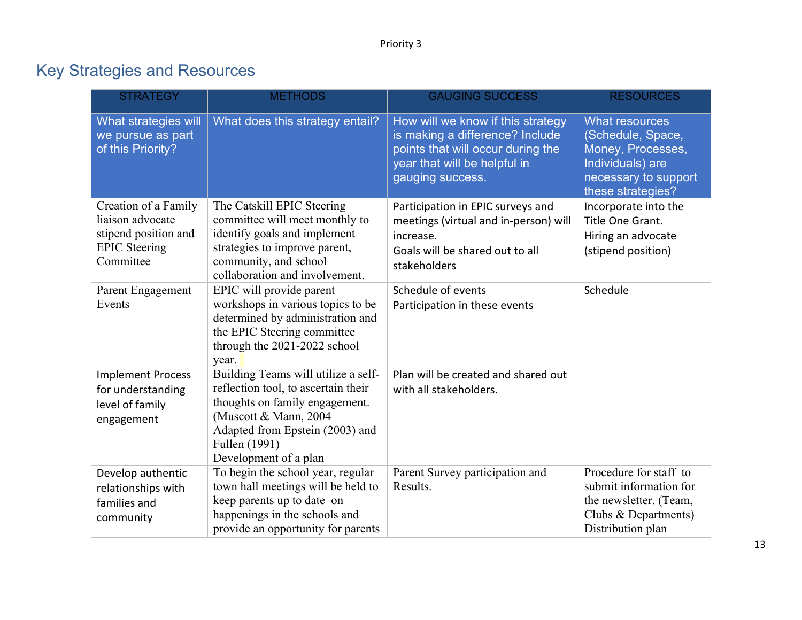| <b>STRATEGY</b>                                                                                       | <b>METHODS</b>                                                                                                                                                                                                      | <b>GAUGING SUCCESS</b>                                                                                                                                        | <b>RESOURCES</b>                                                                                                                 |
|-------------------------------------------------------------------------------------------------------|---------------------------------------------------------------------------------------------------------------------------------------------------------------------------------------------------------------------|---------------------------------------------------------------------------------------------------------------------------------------------------------------|----------------------------------------------------------------------------------------------------------------------------------|
| What strategies will<br>we pursue as part<br>of this Priority?                                        | What does this strategy entail?                                                                                                                                                                                     | How will we know if this strategy<br>is making a difference? Include<br>points that will occur during the<br>year that will be helpful in<br>gauging success. | <b>What resources</b><br>(Schedule, Space,<br>Money, Processes,<br>Individuals) are<br>necessary to support<br>these strategies? |
| Creation of a Family<br>liaison advocate<br>stipend position and<br><b>EPIC</b> Steering<br>Committee | The Catskill EPIC Steering<br>committee will meet monthly to<br>identify goals and implement<br>strategies to improve parent,<br>community, and school<br>collaboration and involvement.                            | Participation in EPIC surveys and<br>meetings (virtual and in-person) will<br>increase.<br>Goals will be shared out to all<br>stakeholders                    | Incorporate into the<br>Title One Grant.<br>Hiring an advocate<br>(stipend position)                                             |
| Parent Engagement<br>Events                                                                           | EPIC will provide parent<br>workshops in various topics to be<br>determined by administration and<br>the EPIC Steering committee<br>through the 2021-2022 school<br>year.                                           | Schedule of events<br>Participation in these events                                                                                                           | Schedule                                                                                                                         |
| <b>Implement Process</b><br>for understanding<br>level of family<br>engagement                        | Building Teams will utilize a self-<br>reflection tool, to ascertain their<br>thoughts on family engagement.<br>(Muscott & Mann, 2004)<br>Adapted from Epstein (2003) and<br>Fullen (1991)<br>Development of a plan | Plan will be created and shared out<br>with all stakeholders.                                                                                                 |                                                                                                                                  |
| Develop authentic<br>relationships with<br>families and<br>community                                  | To begin the school year, regular<br>town hall meetings will be held to<br>keep parents up to date on<br>happenings in the schools and<br>provide an opportunity for parents                                        | Parent Survey participation and<br>Results.                                                                                                                   | Procedure for staff to<br>submit information for<br>the newsletter. (Team,<br>Clubs & Departments)<br>Distribution plan          |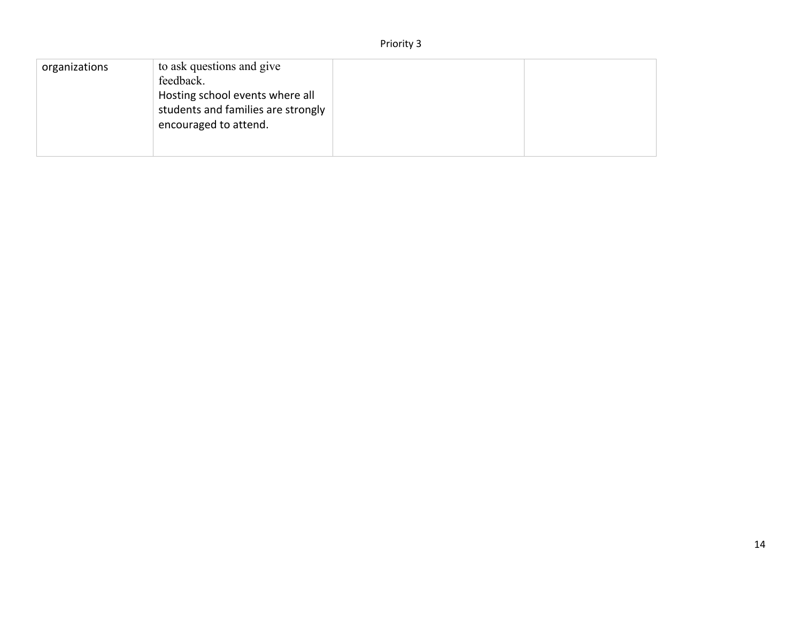| organizations | to ask questions and give<br>feedback.<br>Hosting school events where all<br>students and families are strongly<br>encouraged to attend. |  |  |
|---------------|------------------------------------------------------------------------------------------------------------------------------------------|--|--|
|---------------|------------------------------------------------------------------------------------------------------------------------------------------|--|--|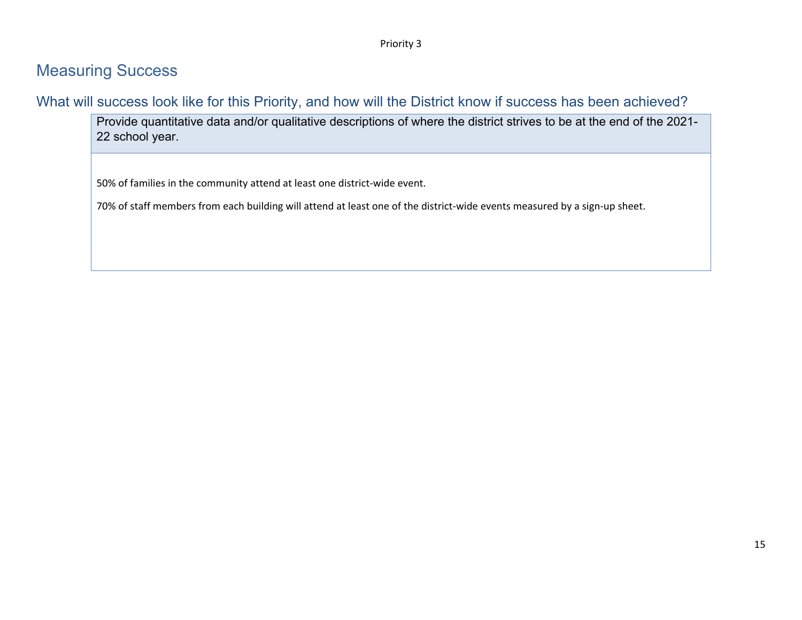#### Measuring Success

What will success look like for this Priority, and how will the District know if success has been achieved?

Provide quantitative data and/or qualitative descriptions of where the district strives to be at the end of the 2021- 22 school year.

50% of families in the community attend at least one district-wide event.

70% of staff members from each building will attend at least one of the district-wide events measured by a sign-up sheet.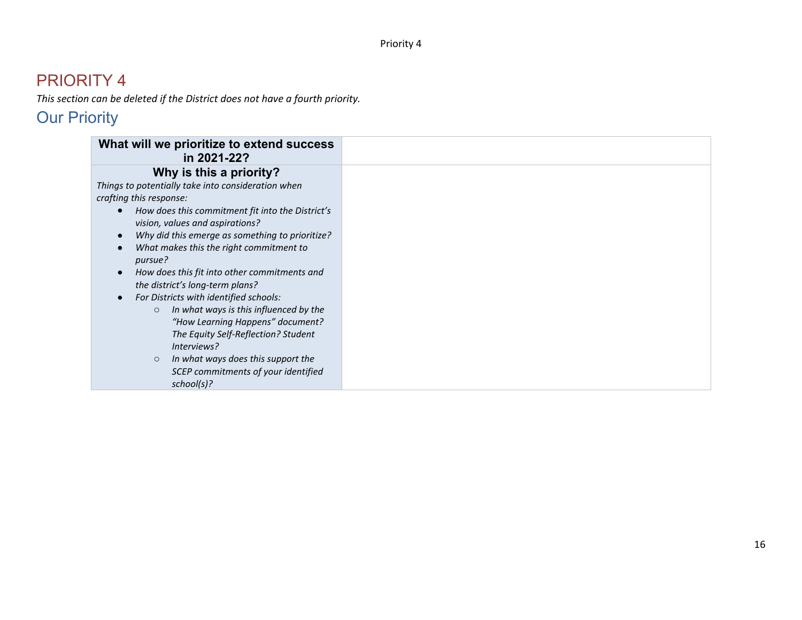*This section can be deleted if the District does not have a fourth priority.*

| What will we prioritize to extend success<br>in 2021-22? |
|----------------------------------------------------------|
| Why is this a priority?                                  |
| Things to potentially take into consideration when       |
| crafting this response:                                  |
| How does this commitment fit into the District's         |
| vision, values and aspirations?                          |
| Why did this emerge as something to prioritize?          |
| What makes this the right commitment to                  |
| pursue?                                                  |
| How does this fit into other commitments and             |
| the district's long-term plans?                          |
| For Districts with identified schools:                   |
| In what ways is this influenced by the<br>$\circ$        |
| "How Learning Happens" document?                         |
| The Equity Self-Reflection? Student                      |
| Interviews?                                              |
| In what ways does this support the<br>$\circ$            |
| SCEP commitments of your identified                      |
| school(s)?                                               |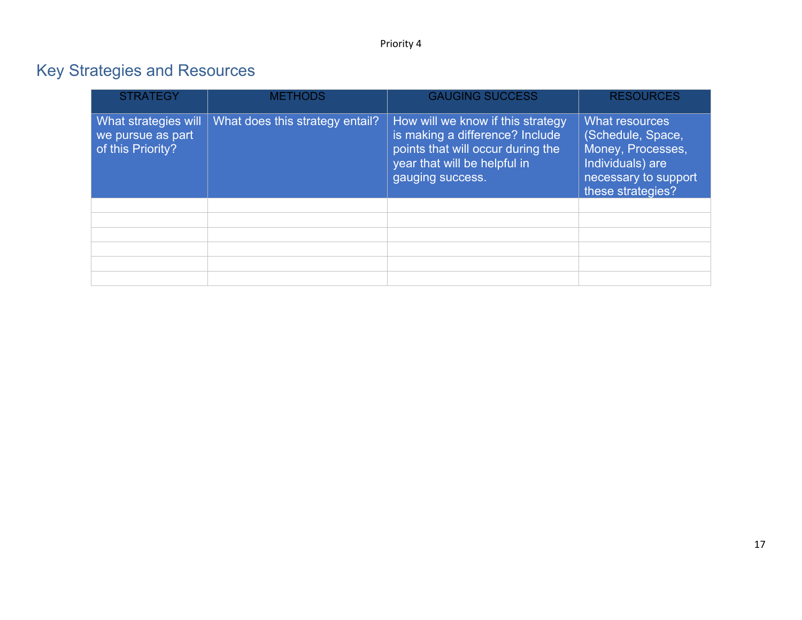| <b>STRATEGY</b>                                                | <b>METHODS</b>                  | <b>GAUGING SUCCESS</b>                                                                                                                                        | <b>RESOURCES</b>                                                                                                          |
|----------------------------------------------------------------|---------------------------------|---------------------------------------------------------------------------------------------------------------------------------------------------------------|---------------------------------------------------------------------------------------------------------------------------|
| What strategies will<br>we pursue as part<br>of this Priority? | What does this strategy entail? | How will we know if this strategy<br>is making a difference? Include<br>points that will occur during the<br>year that will be helpful in<br>gauging success. | What resources<br>(Schedule, Space,<br>Money, Processes,<br>Individuals) are<br>necessary to support<br>these strategies? |
|                                                                |                                 |                                                                                                                                                               |                                                                                                                           |
|                                                                |                                 |                                                                                                                                                               |                                                                                                                           |
|                                                                |                                 |                                                                                                                                                               |                                                                                                                           |
|                                                                |                                 |                                                                                                                                                               |                                                                                                                           |
|                                                                |                                 |                                                                                                                                                               |                                                                                                                           |
|                                                                |                                 |                                                                                                                                                               |                                                                                                                           |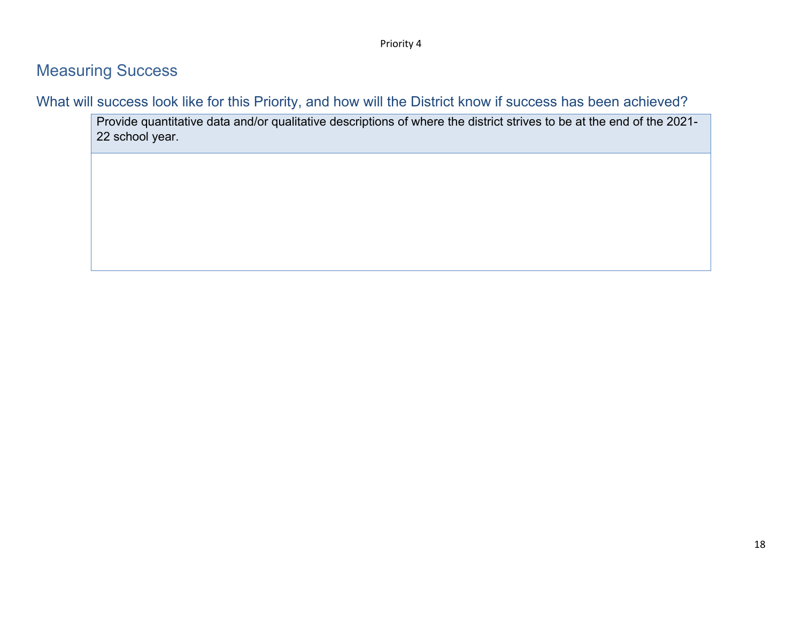#### Measuring Success

What will success look like for this Priority, and how will the District know if success has been achieved?

Provide quantitative data and/or qualitative descriptions of where the district strives to be at the end of the 2021- 22 school year.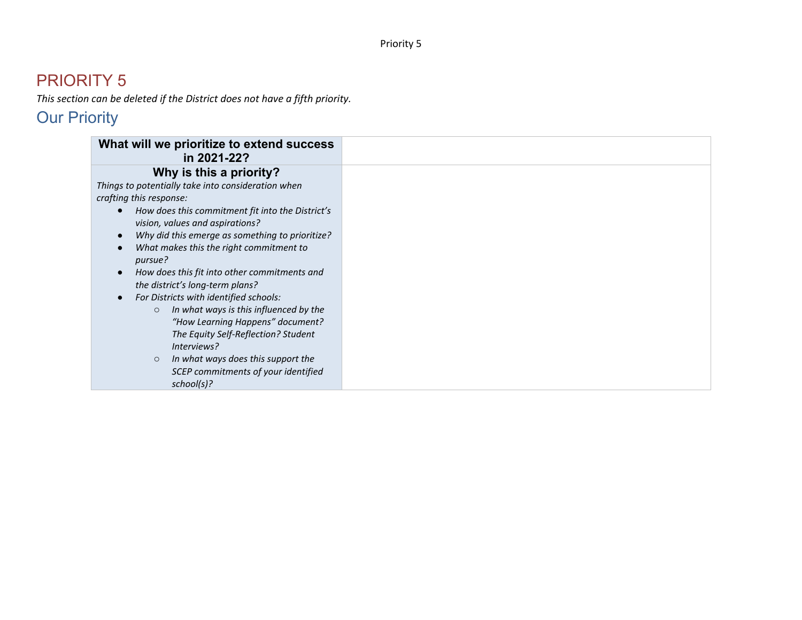*This section can be deleted if the District does not have a fifth priority.*

| What will we prioritize to extend success<br>in 2021-22? |
|----------------------------------------------------------|
| Why is this a priority?                                  |
| Things to potentially take into consideration when       |
| crafting this response:                                  |
| How does this commitment fit into the District's         |
| vision, values and aspirations?                          |
| Why did this emerge as something to prioritize?          |
| What makes this the right commitment to                  |
| pursue?                                                  |
| How does this fit into other commitments and             |
| the district's long-term plans?                          |
| For Districts with identified schools:                   |
| In what ways is this influenced by the<br>$\circ$        |
| "How Learning Happens" document?                         |
| The Equity Self-Reflection? Student                      |
| Interviews?                                              |
| In what ways does this support the<br>$\circ$            |
| SCEP commitments of your identified                      |
| school(s)?                                               |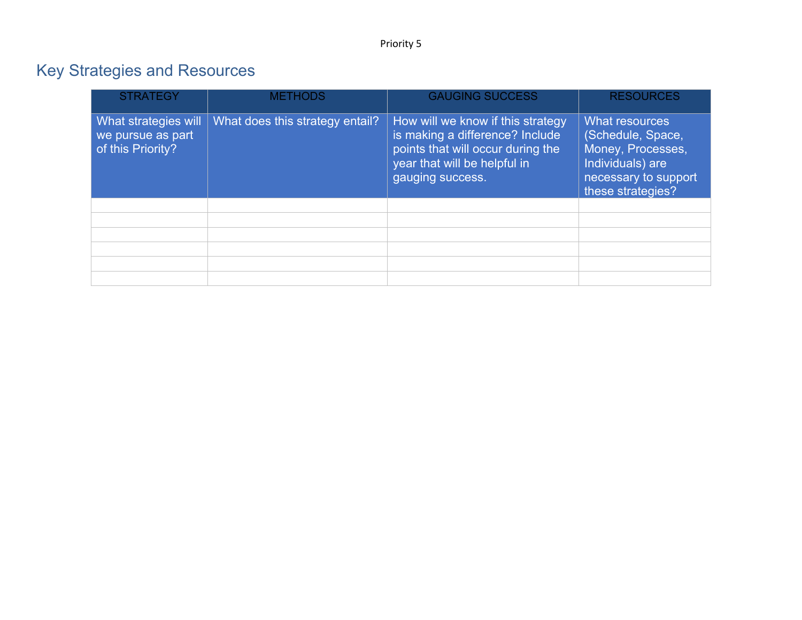| <b>STRATEGY</b>                                                | <b>METHODS</b>                  | <b>GAUGING SUCCESS</b>                                                                                                                                        | <b>RESOURCES</b>                                                                                                          |
|----------------------------------------------------------------|---------------------------------|---------------------------------------------------------------------------------------------------------------------------------------------------------------|---------------------------------------------------------------------------------------------------------------------------|
| What strategies will<br>we pursue as part<br>of this Priority? | What does this strategy entail? | How will we know if this strategy<br>is making a difference? Include<br>points that will occur during the<br>year that will be helpful in<br>gauging success. | What resources<br>(Schedule, Space,<br>Money, Processes,<br>Individuals) are<br>necessary to support<br>these strategies? |
|                                                                |                                 |                                                                                                                                                               |                                                                                                                           |
|                                                                |                                 |                                                                                                                                                               |                                                                                                                           |
|                                                                |                                 |                                                                                                                                                               |                                                                                                                           |
|                                                                |                                 |                                                                                                                                                               |                                                                                                                           |
|                                                                |                                 |                                                                                                                                                               |                                                                                                                           |
|                                                                |                                 |                                                                                                                                                               |                                                                                                                           |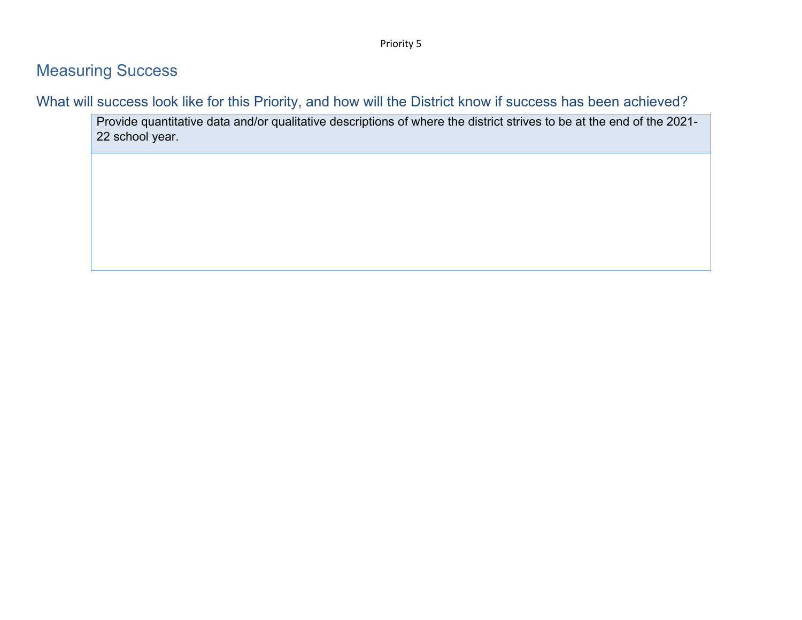### Measuring Success

What will success look like for this Priority, and how will the District know if success has been achieved?

Provide quantitative data and/or qualitative descriptions of where the district strives to be at the end of the 2021- 22 school year.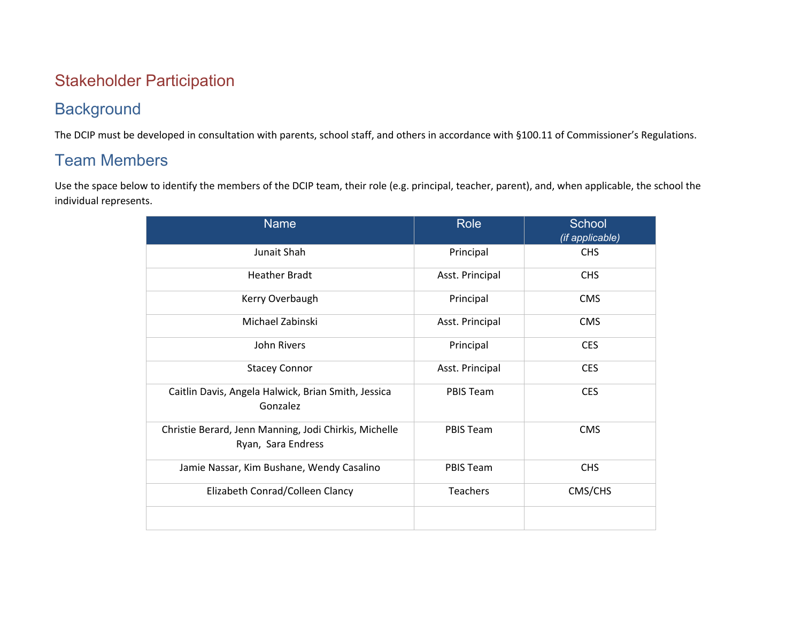### Stakeholder Participation

### **Background**

The DCIP must be developed in consultation with parents, school staff, and others in accordance with §100.11 of Commissioner's Regulations.

### Team Members

Use the space below to identify the members of the DCIP team, their role (e.g. principal, teacher, parent), and, when applicable, the school the individual represents.

| <b>Name</b>                                                                 | Role            | School<br>(if applicable) |
|-----------------------------------------------------------------------------|-----------------|---------------------------|
| Junait Shah                                                                 | Principal       | <b>CHS</b>                |
| <b>Heather Bradt</b>                                                        | Asst. Principal | <b>CHS</b>                |
| Kerry Overbaugh                                                             | Principal       | <b>CMS</b>                |
| Michael Zabinski                                                            | Asst. Principal | <b>CMS</b>                |
| John Rivers                                                                 | Principal       | <b>CES</b>                |
| <b>Stacey Connor</b>                                                        | Asst. Principal | <b>CES</b>                |
| Caitlin Davis, Angela Halwick, Brian Smith, Jessica<br>Gonzalez             | PBIS Team       | <b>CES</b>                |
| Christie Berard, Jenn Manning, Jodi Chirkis, Michelle<br>Ryan, Sara Endress | PBIS Team       | <b>CMS</b>                |
| Jamie Nassar, Kim Bushane, Wendy Casalino                                   | PBIS Team       | <b>CHS</b>                |
| Elizabeth Conrad/Colleen Clancy                                             | Teachers        | CMS/CHS                   |
|                                                                             |                 |                           |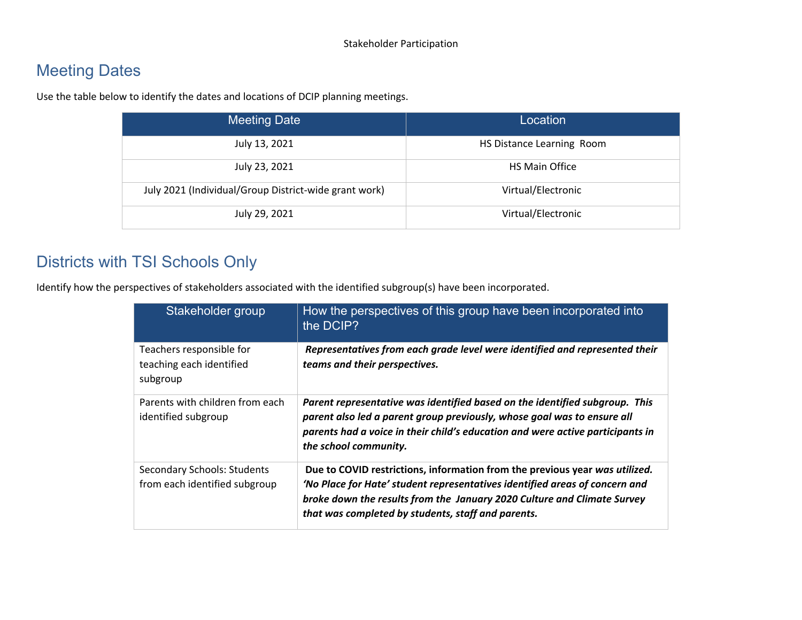### Meeting Dates

Use the table below to identify the dates and locations of DCIP planning meetings.

| Meeting Date                                          | Location                  |
|-------------------------------------------------------|---------------------------|
| July 13, 2021                                         | HS Distance Learning Room |
| July 23, 2021                                         | HS Main Office            |
| July 2021 (Individual/Group District-wide grant work) | Virtual/Electronic        |
| July 29, 2021                                         | Virtual/Electronic        |

### Districts with TSI Schools Only

Identify how the perspectives of stakeholders associated with the identified subgroup(s) have been incorporated.

| Stakeholder group                                                | How the perspectives of this group have been incorporated into<br>the DCIP?                                                                                                                                                                                                                 |
|------------------------------------------------------------------|---------------------------------------------------------------------------------------------------------------------------------------------------------------------------------------------------------------------------------------------------------------------------------------------|
| Teachers responsible for<br>teaching each identified<br>subgroup | Representatives from each grade level were identified and represented their<br>teams and their perspectives.                                                                                                                                                                                |
| Parents with children from each<br>identified subgroup           | Parent representative was identified based on the identified subgroup. This<br>parent also led a parent group previously, whose goal was to ensure all<br>parents had a voice in their child's education and were active participants in<br>the school community.                           |
| Secondary Schools: Students<br>from each identified subgroup     | Due to COVID restrictions, information from the previous year was utilized.<br>'No Place for Hate' student representatives identified areas of concern and<br>broke down the results from the January 2020 Culture and Climate Survey<br>that was completed by students, staff and parents. |